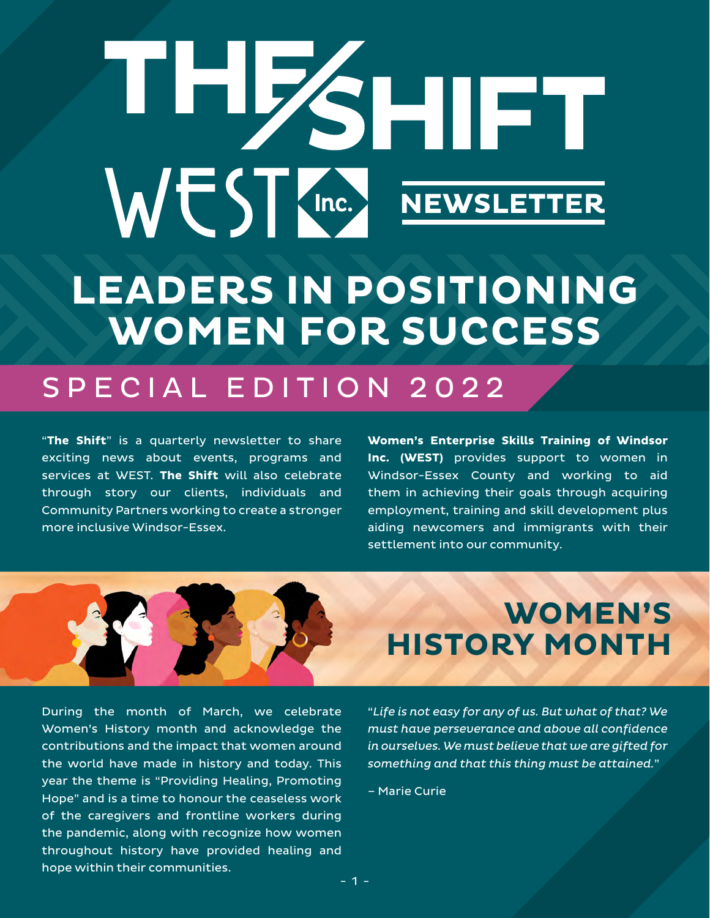# THESHIFT WEST (Inc.) NEWSLETTER **LEADERS IN POSITIONING WOMEN FOR SUCCESS**

### SPECIAL EDITION 2022

"**The Shift**" is a quarterly newsletter to share exciting news about events, programs and services at WEST. **The Shift** will also celebrate through story our clients, individuals and Community Partners working to create a stronger more inclusive Windsor-Essex.

**Women's Enterprise Skills Training of Windsor Inc. (WEST)** provides support to women in Windsor-Essex County and working to aid them in achieving their goals through acquiring employment, training and skill development plus aiding newcomers and immigrants with their settlement into our community.

During the month of March, we celebrate Women's History month and acknowledge the contributions and the impact that women around the world have made in history and today. This year the theme is "Providing Healing, Promoting Hope" and is a time to honour the ceaseless work of the caregivers and frontline workers during the pandemic, along with recognize how women throughout history have provided healing and hope within their communities.

**WOMEN'S HISTORY MONTH**

"*Life is not easy for any of us. But what of that? We must have perseverance and above all confidence in ourselves. We must believe that we are gifted for something and that this thing must be attained.*"

– Marie Curie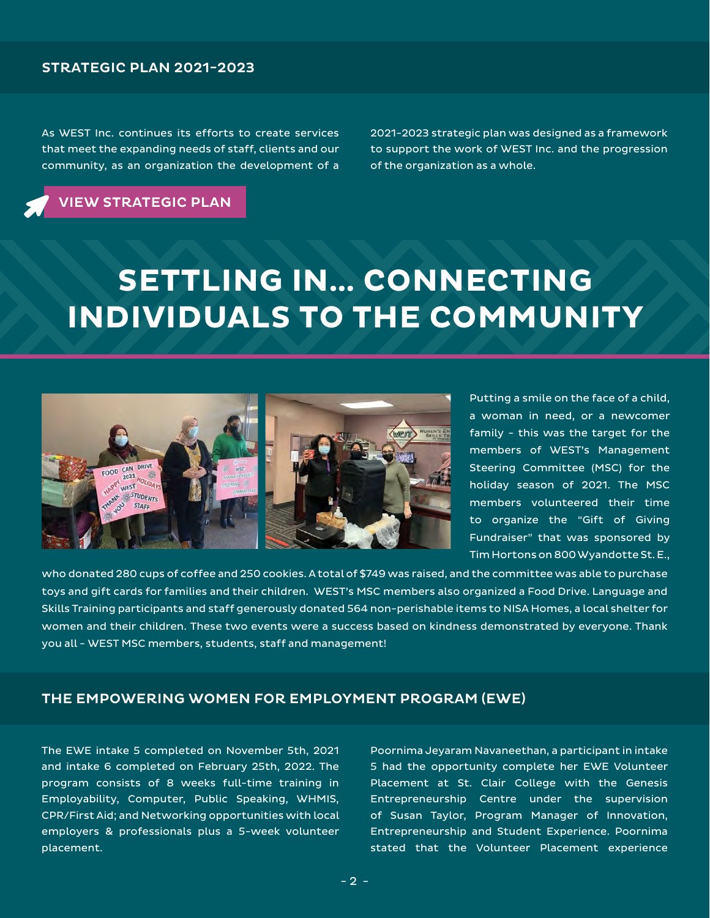### STRATEGIC PLAN 2021-2023

As WEST Inc. continues its efforts to create services that meet the expanding needs of staff, clients and our community, as an organization the development of a 2021-2023 strategic plan was designed as a framework to support the work of WEST Inc. and the progression of the organization as a whole.

[VIEW STRATEGIC PLAN](https://www.westofwindsor.com/strategic-plan-summary-report)

# **SETTLING IN… CONNECTING INDIVIDUALS TO THE COMMUNITY**



Putting a smile on the face of a child, a woman in need, or a newcomer family - this was the target for the members of WEST's Management Steering Committee (MSC) for the holiday season of 2021. The MSC members volunteered their time to organize the "Gift of Giving Fundraiser" that was sponsored by Tim Hortons on 800 Wyandotte St. E.,

who donated 280 cups of coffee and 250 cookies. A total of \$749 was raised, and the committee was able to purchase toys and gift cards for families and their children. WEST's MSC members also organized a Food Drive. Language and Skills Training participants and staff generously donated 564 non-perishable items to NISA Homes, a local shelter for women and their children. These two events were a success based on kindness demonstrated by everyone. Thank you all - WEST MSC members, students, staff and management!

#### THE EMPOWERING WOMEN FOR EMPLOYMENT PROGRAM (EWE)

The EWE intake 5 completed on November 5th, 2021 and intake 6 completed on February 25th, 2022. The program consists of 8 weeks full-time training in Employability, Computer, Public Speaking, WHMIS, CPR/First Aid; and Networking opportunities with local employers & professionals plus a 5-week volunteer placement.

Poornima Jeyaram Navaneethan, a participant in intake 5 had the opportunity complete her EWE Volunteer Placement at St. Clair College with the Genesis Entrepreneurship Centre under the supervision of Susan Taylor, Program Manager of Innovation, Entrepreneurship and Student Experience. Poornima stated that the Volunteer Placement experience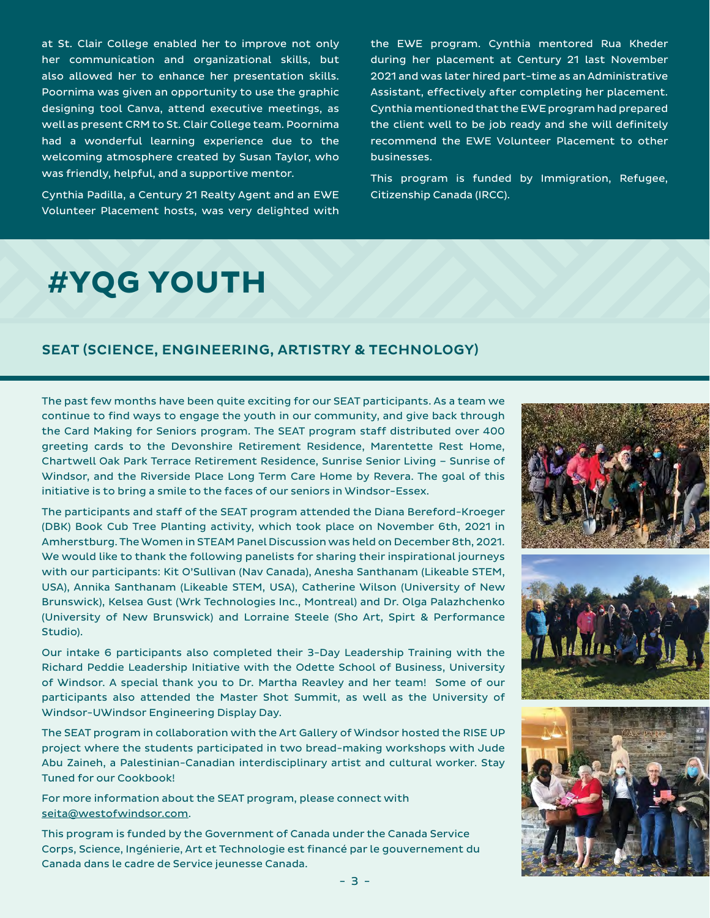at St. Clair College enabled her to improve not only her communication and organizational skills, but also allowed her to enhance her presentation skills. Poornima was given an opportunity to use the graphic designing tool Canva, attend executive meetings, as well as present CRM to St. Clair College team. Poornima had a wonderful learning experience due to the welcoming atmosphere created by Susan Taylor, who was friendly, helpful, and a supportive mentor.

Cynthia Padilla, a Century 21 Realty Agent and an EWE Volunteer Placement hosts, was very delighted with the EWE program. Cynthia mentored Rua Kheder during her placement at Century 21 last November 2021 and was later hired part-time as an Administrative Assistant, effectively after completing her placement. Cynthia mentioned that the EWE program had prepared the client well to be job ready and she will definitely recommend the EWE Volunteer Placement to other businesses.

This program is funded by Immigration, Refugee, Citizenship Canada (IRCC).

## **#YQG YOUTH**

### SEAT (SCIENCE, ENGINEERING, ARTISTRY & TECHNOLOGY)

The past few months have been quite exciting for our SEAT participants. As a team we continue to find ways to engage the youth in our community, and give back through the Card Making for Seniors program. The SEAT program staff distributed over 400 greeting cards to the Devonshire Retirement Residence, Marentette Rest Home, Chartwell Oak Park Terrace Retirement Residence, Sunrise Senior Living – Sunrise of Windsor, and the Riverside Place Long Term Care Home by Revera. The goal of this initiative is to bring a smile to the faces of our seniors in Windsor-Essex.

The participants and staff of the SEAT program attended the Diana Bereford-Kroeger (DBK) Book Cub Tree Planting activity, which took place on November 6th, 2021 in Amherstburg. The Women in STEAM Panel Discussion was held on December 8th, 2021. We would like to thank the following panelists for sharing their inspirational journeys with our participants: Kit O'Sullivan (Nav Canada), Anesha Santhanam (Likeable STEM, USA), Annika Santhanam (Likeable STEM, USA), Catherine Wilson (University of New Brunswick), Kelsea Gust (Wrk Technologies Inc., Montreal) and Dr. Olga Palazhchenko (University of New Brunswick) and Lorraine Steele (Sho Art, Spirt & Performance Studio).

Our intake 6 participants also completed their 3-Day Leadership Training with the Richard Peddie Leadership Initiative with the Odette School of Business, University of Windsor. A special thank you to Dr. Martha Reavley and her team! Some of our participants also attended the Master Shot Summit, as well as the University of Windsor-UWindsor Engineering Display Day.

The SEAT program in collaboration with the Art Gallery of Windsor hosted the RISE UP project where the students participated in two bread-making workshops with Jude Abu Zaineh, a Palestinian-Canadian interdisciplinary artist and cultural worker. Stay Tuned for our Cookbook!

For more information about the SEAT program, please connect with [seita@westofwindsor.com](mailto:seita@westofwindsor.com).

This program is funded by the Government of Canada under the Canada Service Corps, Science, Ingénierie, Art et Technologie est financé par le gouvernement du Canada dans le cadre de Service jeunesse Canada.





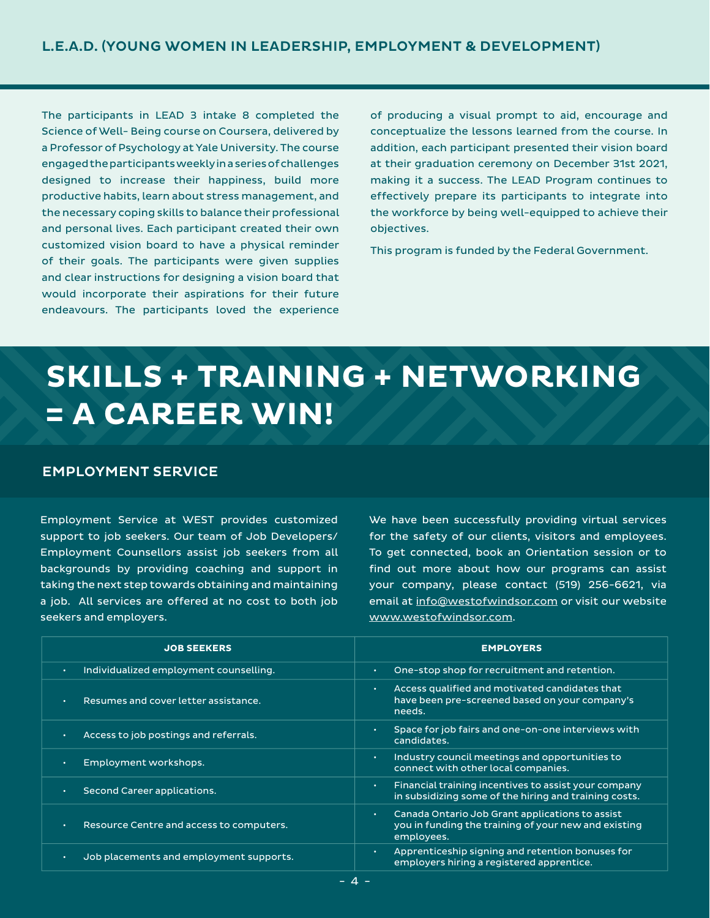The participants in LEAD 3 intake 8 completed the Science of Well- Being course on Coursera, delivered by a Professor of Psychology at Yale University. The course engaged the participants weekly in a series of challenges designed to increase their happiness, build more productive habits, learn about stress management, and the necessary coping skills to balance their professional and personal lives. Each participant created their own customized vision board to have a physical reminder of their goals. The participants were given supplies and clear instructions for designing a vision board that would incorporate their aspirations for their future endeavours. The participants loved the experience

of producing a visual prompt to aid, encourage and conceptualize the lessons learned from the course. In addition, each participant presented their vision board at their graduation ceremony on December 31st 2021, making it a success. The LEAD Program continues to effectively prepare its participants to integrate into the workforce by being well-equipped to achieve their objectives.

This program is funded by the Federal Government.

# **SKILLS + TRAINING + NETWORKING = A CAREER WIN!**

### EMPLOYMENT SERVICE

Employment Service at WEST provides customized support to job seekers. Our team of Job Developers/ Employment Counsellors assist job seekers from all backgrounds by providing coaching and support in taking the next step towards obtaining and maintaining a job. All services are offered at no cost to both job seekers and employers.

We have been successfully providing virtual services for the safety of our clients, visitors and employees. To get connected, book an Orientation session or to find out more about how our programs can assist your company, please contact (519) 256-6621, via email at [info@westofwindsor.com](mailto:info@westofwindsor.com) or visit our website [www.westofwindsor.com](https://www.westofwindsor.com/).

| <b>JOB SEEKERS</b>                                    | <b>EMPLOYERS</b>                                                                                                                     |  |  |  |  |  |  |
|-------------------------------------------------------|--------------------------------------------------------------------------------------------------------------------------------------|--|--|--|--|--|--|
| Individualized employment counselling.<br>$\bullet$ . | One-stop shop for recruitment and retention.<br>$\bullet$                                                                            |  |  |  |  |  |  |
| Resumes and cover letter assistance.<br>$\bullet$ .   | Access qualified and motivated candidates that<br>$\bullet$<br>have been pre-screened based on your company's<br>needs.              |  |  |  |  |  |  |
| Access to job postings and referrals.                 | Space for job fairs and one-on-one interviews with<br>$\bullet$<br>candidates.                                                       |  |  |  |  |  |  |
| Employment workshops.                                 | Industry council meetings and opportunities to<br>$\bullet$<br>connect with other local companies.                                   |  |  |  |  |  |  |
| Second Career applications.                           | Financial training incentives to assist your company<br>$\bullet$<br>in subsidizing some of the hiring and training costs.           |  |  |  |  |  |  |
| Resource Centre and access to computers.<br>$\bullet$ | Canada Ontario Job Grant applications to assist<br>$\bullet$ .<br>you in funding the training of your new and existing<br>employees. |  |  |  |  |  |  |
| Job placements and employment supports.               | Apprenticeship signing and retention bonuses for<br>$\bullet$<br>employers hiring a registered apprentice.                           |  |  |  |  |  |  |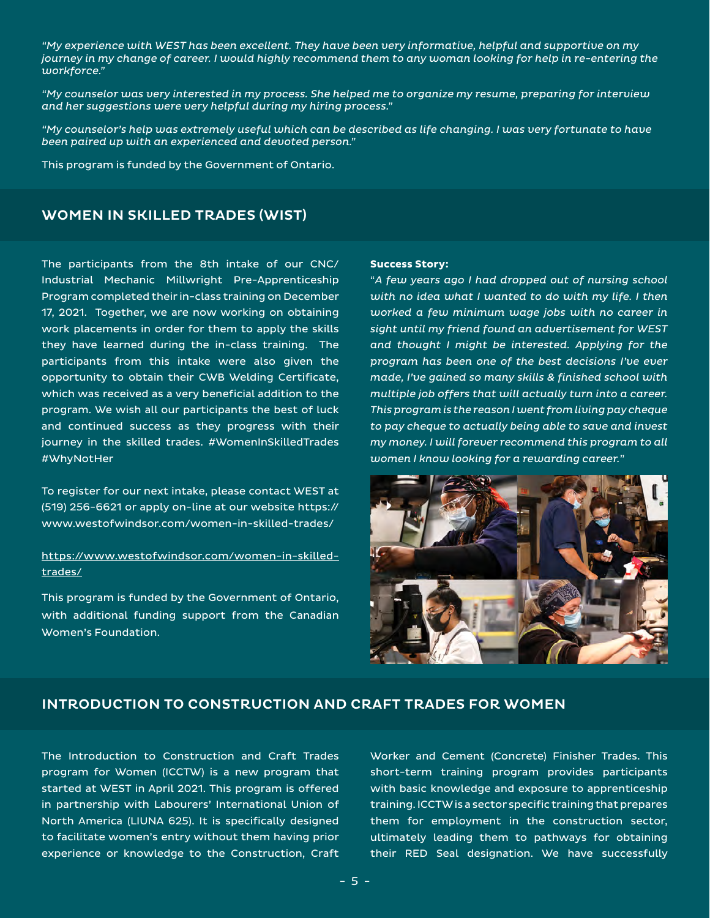*"My experience with WEST has been excellent. They have been very informative, helpful and supportive on my journey in my change of career. I would highly recommend them to any woman looking for help in re-entering the workforce."* 

*"My counselor was very interested in my process. She helped me to organize my resume, preparing for interview and her suggestions were very helpful during my hiring process."*

*"My counselor's help was extremely useful which can be described as life changing. I was very fortunate to have been paired up with an experienced and devoted person."*

This program is funded by the Government of Ontario.

### WOMEN IN SKILLED TRADES (WIST)

The participants from the 8th intake of our CNC/ Industrial Mechanic Millwright Pre-Apprenticeship Program completed their in-class training on December 17, 2021. Together, we are now working on obtaining work placements in order for them to apply the skills they have learned during the in-class training. The participants from this intake were also given the opportunity to obtain their CWB Welding Certificate, which was received as a very beneficial addition to the program. We wish all our participants the best of luck and continued success as they progress with their journey in the skilled trades. #WomenInSkilledTrades #WhyNotHer

To register for our next intake, please contact WEST at (519) 256-6621 or apply on-line at our website https:// www.westofwindsor.com/women-in-skilled-trades/

#### [https://www.westofwindsor.com/women-in-skilled](https://www.westofwindsor.com/women-in-skilled-trades/)[trades/](https://www.westofwindsor.com/women-in-skilled-trades/)

This program is funded by the Government of Ontario, with additional funding support from the Canadian Women's Foundation.

#### **Success Story:**

"*A few years ago I had dropped out of nursing school with no idea what I wanted to do with my life. I then worked a few minimum wage jobs with no career in sight until my friend found an advertisement for WEST and thought I might be interested. Applying for the program has been one of the best decisions I've ever made, I've gained so many skills & finished school with multiple job offers that will actually turn into a career. This program is the reason I went from living pay cheque to pay cheque to actually being able to save and invest my money. I will forever recommend this program to all women I know looking for a rewarding career.*"



### INTRODUCTION TO CONSTRUCTION AND CRAFT TRADES FOR WOMEN

The Introduction to Construction and Craft Trades program for Women (ICCTW) is a new program that started at WEST in April 2021. This program is offered in partnership with Labourers' International Union of North America (LIUNA 625). It is specifically designed to facilitate women's entry without them having prior experience or knowledge to the Construction, Craft Worker and Cement (Concrete) Finisher Trades. This short-term training program provides participants with basic knowledge and exposure to apprenticeship training. ICCTW is a sector specific training that prepares them for employment in the construction sector, ultimately leading them to pathways for obtaining their RED Seal designation. We have successfully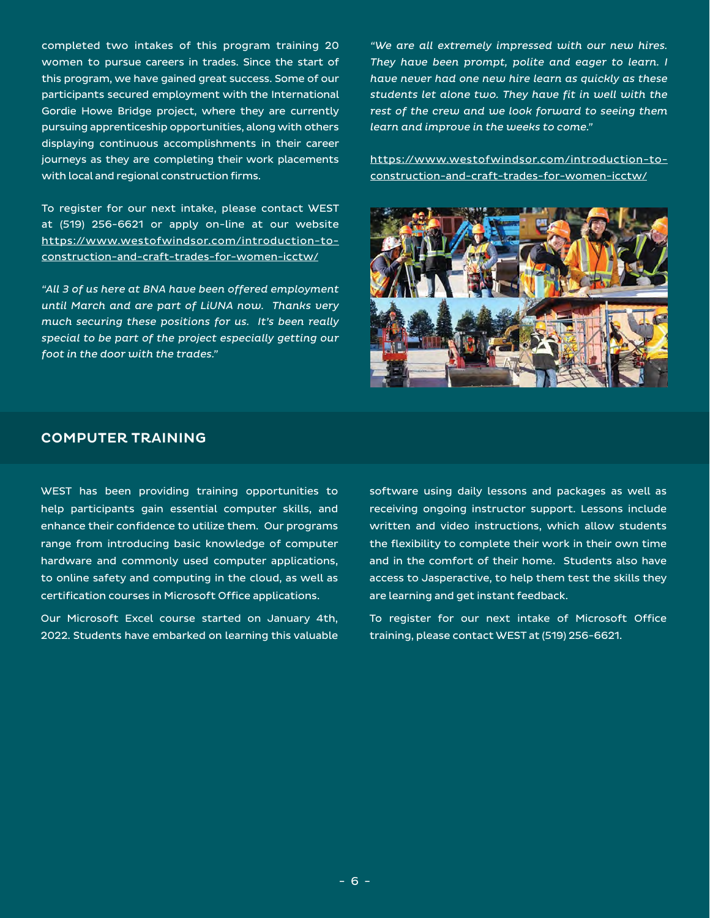completed two intakes of this program training 20 women to pursue careers in trades. Since the start of this program, we have gained great success. Some of our participants secured employment with the International Gordie Howe Bridge project, where they are currently pursuing apprenticeship opportunities, along with others displaying continuous accomplishments in their career journeys as they are completing their work placements with local and regional construction firms.

To register for our next intake, please contact WEST at (519) 256-6621 or apply on-line at our website [https://www.westofwindsor.com/introduction-to](https://www.westofwindsor.com/introduction-to-construction-and-craft-trades-for-women-icctw/)[construction-and-craft-trades-for-women-icctw/](https://www.westofwindsor.com/introduction-to-construction-and-craft-trades-for-women-icctw/)

*"All 3 of us here at BNA have been offered employment until March and are part of LiUNA now. Thanks very much securing these positions for us. It's been really special to be part of the project especially getting our foot in the door with the trades."* 

*"We are all extremely impressed with our new hires. They have been prompt, polite and eager to learn. I have never had one new hire learn as quickly as these students let alone two. They have fit in well with the rest of the crew and we look forward to seeing them learn and improve in the weeks to come."* 

[https://www.westofwindsor.com/introduction-to](https://www.westofwindsor.com/introduction-to-construction-and-craft-trades-for-women-icctw/)[construction-and-craft-trades-for-women-icctw/](https://www.westofwindsor.com/introduction-to-construction-and-craft-trades-for-women-icctw/)



#### COMPUTER TRAINING

WEST has been providing training opportunities to help participants gain essential computer skills, and enhance their confidence to utilize them. Our programs range from introducing basic knowledge of computer hardware and commonly used computer applications, to online safety and computing in the cloud, as well as certification courses in Microsoft Office applications.

Our Microsoft Excel course started on January 4th, 2022. Students have embarked on learning this valuable software using daily lessons and packages as well as receiving ongoing instructor support. Lessons include written and video instructions, which allow students the flexibility to complete their work in their own time and in the comfort of their home. Students also have access to Jasperactive, to help them test the skills they are learning and get instant feedback.

To register for our next intake of Microsoft Office training, please contact WEST at (519) 256-6621.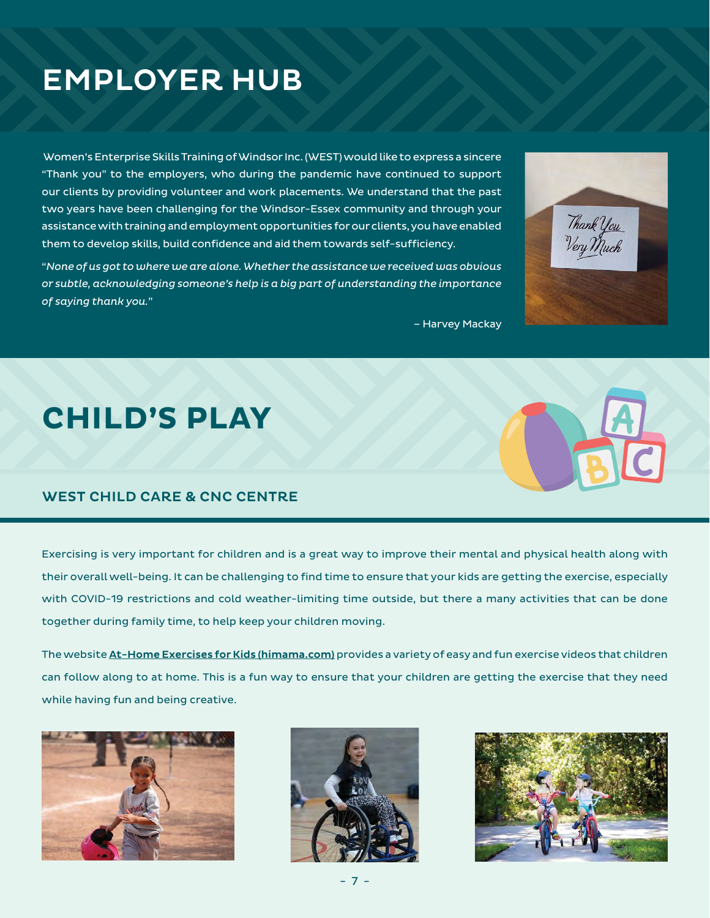# EMPLOYER HUB

 Women's Enterprise Skills Training of Windsor Inc. (WEST) would like to express a sincere "Thank you" to the employers, who during the pandemic have continued to support our clients by providing volunteer and work placements. We understand that the past two years have been challenging for the Windsor-Essex community and through your assistance with training and employment opportunities for our clients, you have enabled them to develop skills, build confidence and aid them towards self-sufficiency.

"*None of us got to where we are alone. Whether the assistance we received was obvious or subtle, acknowledging someone's help is a big part of understanding the importance of saying thank you.*"

– Harvey Mackay

# **CHILD'S PLAY**

### WEST CHILD CARE & CNC CENTRE

Exercising is very important for children and is a great way to improve their mental and physical health along with their overall well-being. It can be challenging to find time to ensure that your kids are getting the exercise, especially with COVID-19 restrictions and cold weather-limiting time outside, but there a many activities that can be done together during family time, to help keep your children moving.

The website [At-Home Exercises for Kids \(himama.com\)](https://www.himama.com/blog/at-home-exercises-for-kids-covid19/) provides a variety of easy and fun exercise videos that children can follow along to at home. This is a fun way to ensure that your children are getting the exercise that they need while having fun and being creative.









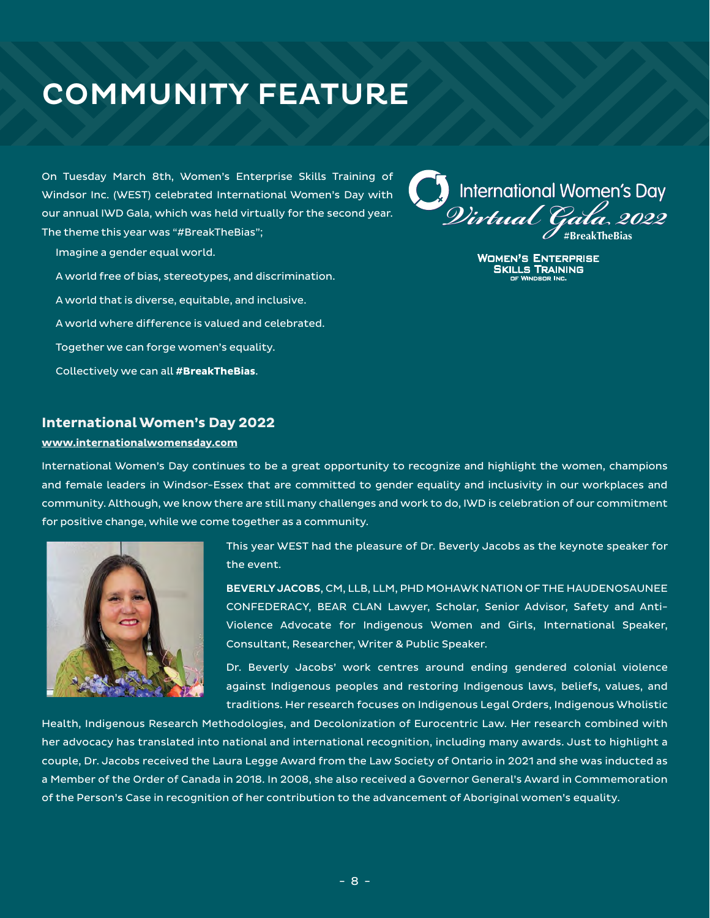# COMMUNITY FEATURE

On Tuesday March 8th, Women's Enterprise Skills Training of Windsor Inc. (WEST) celebrated International Women's Day with our annual IWD Gala, which was held virtually for the second year. The theme this year was "#BreakTheBias";

- Imagine a gender equal world.
- A world free of bias, stereotypes, and discrimination.
- A world that is diverse, equitable, and inclusive.
- A world where difference is valued and celebrated.
- Together we can forge women's equality.
- Collectively we can all **#BreakTheBias**.

# International Women's Day *Virtual Gala 2022* **#BreakTheBias**

**WOMEN'S ENTERPRISE<br>SKILLS TRAINING** 

#### **[International Women's Day 2022](https://www.internationalwomensday.com/)**

#### **[www.internationalwomensday.com](https://www.internationalwomensday.com/)**

International Women's Day continues to be a great opportunity to recognize and highlight the women, champions and female leaders in Windsor-Essex that are committed to gender equality and inclusivity in our workplaces and community. Although, we know there are still many challenges and work to do, IWD is celebration of our commitment for positive change, while we come together as a community.



This year WEST had the pleasure of Dr. Beverly Jacobs as the keynote speaker for the event.

BEVERLY JACOBS, CM, LLB, LLM, PHD MOHAWK NATION OF THE HAUDENOSAUNEE CONFEDERACY, BEAR CLAN Lawyer, Scholar, Senior Advisor, Safety and Anti-Violence Advocate for Indigenous Women and Girls, International Speaker, Consultant, Researcher, Writer & Public Speaker.

Dr. Beverly Jacobs' work centres around ending gendered colonial violence against Indigenous peoples and restoring Indigenous laws, beliefs, values, and traditions. Her research focuses on Indigenous Legal Orders, Indigenous Wholistic

Health, Indigenous Research Methodologies, and Decolonization of Eurocentric Law. Her research combined with her advocacy has translated into national and international recognition, including many awards. Just to highlight a couple, Dr. Jacobs received the Laura Legge Award from the Law Society of Ontario in 2021 and she was inducted as a Member of the Order of Canada in 2018. In 2008, she also received a Governor General's Award in Commemoration of the Person's Case in recognition of her contribution to the advancement of Aboriginal women's equality.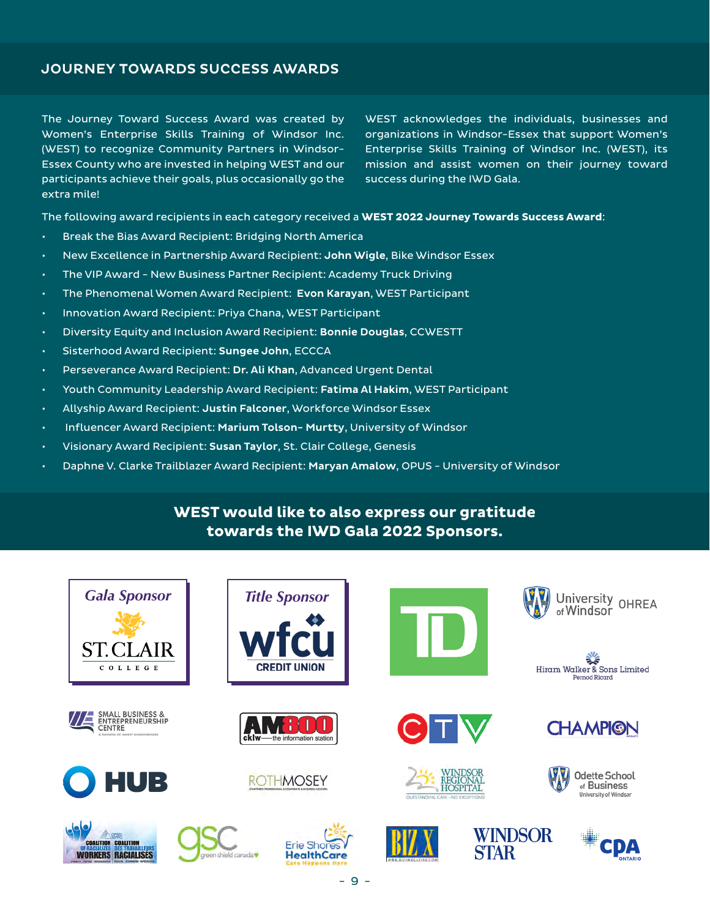### JOURNEY TOWARDS SUCCESS AWARDS

The Journey Toward Success Award was created by Women's Enterprise Skills Training of Windsor Inc. (WEST) to recognize Community Partners in Windsor-Essex County who are invested in helping WEST and our participants achieve their goals, plus occasionally go the extra mile!

WEST acknowledges the individuals, businesses and organizations in Windsor-Essex that support Women's Enterprise Skills Training of Windsor Inc. (WEST), its mission and assist women on their journey toward success during the IWD Gala.

The following award recipients in each category received a **WEST 2022 Journey Towards Success Award**:

- Break the Bias Award Recipient: Bridging North America
- New Excellence in Partnership Award Recipient: John Wigle, Bike Windsor Essex
- The VIP Award New Business Partner Recipient: Academy Truck Driving
- The Phenomenal Women Award Recipient: Evon Karayan, WEST Participant
- Innovation Award Recipient: Priya Chana, WEST Participant
- Diversity Equity and Inclusion Award Recipient: Bonnie Douglas, CCWESTT
- Sisterhood Award Recipient: Sungee John, ECCCA
- Perseverance Award Recipient: Dr. Ali Khan, Advanced Urgent Dental
- Youth Community Leadership Award Recipient: Fatima Al Hakim, WEST Participant
- Allyship Award Recipient: Justin Falconer, Workforce Windsor Essex
- Influencer Award Recipient: Marium Tolson- Murtty, University of Windsor
- Visionary Award Recipient: Susan Taylor, St. Clair College, Genesis
- Daphne V. Clarke Trailblazer Award Recipient: Maryan Amalow, OPUS University of Windsor

### **WEST would like to also express our gratitude towards the IWD Gala 2022 Sponsors.**